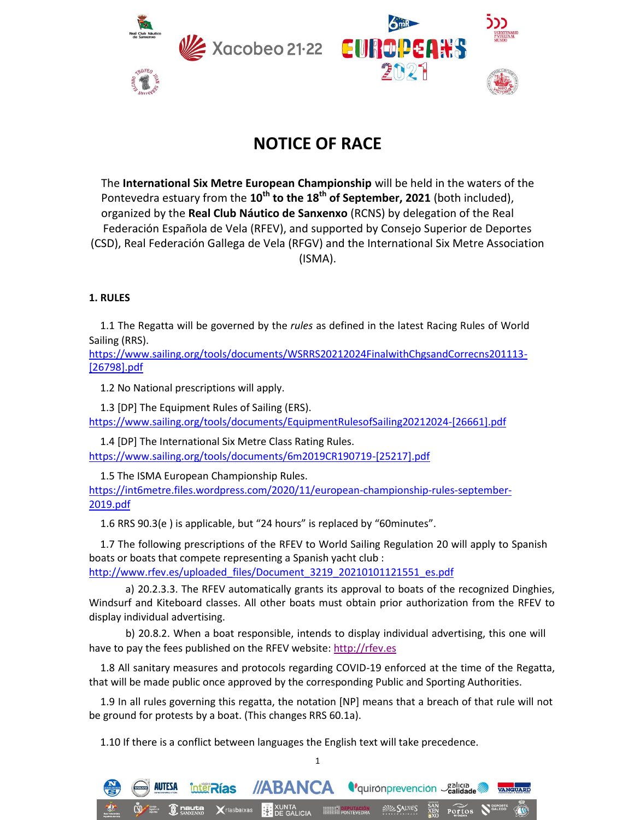

# **NOTICE OF RACE**

The **International Six Metre European Championship** will be held in the waters of the Pontevedra estuary from the **10th to the 18th of September, 2021** (both included), organized by the **Real Club Náutico de Sanxenxo** (RCNS) by delegation of the Real Federación Española de Vela (RFEV), and supported by Consejo Superior de Deportes (CSD), Real Federación Gallega de Vela (RFGV) and the International Six Metre Association (ISMA).

## **1. RULES**

1.1 The Regatta will be governed by the *rules* as defined in the latest Racing Rules of World Sailing (RRS).

[https://www.sailing.org/tools/documents/WSRRS20212024FinalwithChgsandCorrecns201113-](https://www.sailing.org/tools/documents/wsrrs20212024finalwithchgsandcorrecns201113-/) [26798].pdf

1.2 No National prescriptions will apply.

1.3 [DP] The Equipment Rules of Sailing (ERS). https://www.sailing.org/tools/documents/EquipmentRulesofSailing20212024-[26661].pdf

1.4 [DP] The International Six Metre Class Rating Rules. https://www.sailing.org/tools/documents/6m2019CR190719-[25217].pdf

1.5 The ISMA European Championship Rules.

AUTESA

[https://int6metre.files.wordpress.com/2020/11/european-championship-rules-september-](https://int6metre.files.wordpress.com/2020/11/european-championship-rules-september-/)2019.pdf

1.6 RRS 90.3(e ) is applicable, but "24 hours" is replaced by "60minutes".

1.7 The following prescriptions of the RFEV to World Sailing Regulation 20 will apply to Spanish boats or boats that compete representing a Spanish yacht club : [http://www.rfev.es/uploaded\\_files/Document\\_3219\\_20210101121551\\_es.pdf](http://www.rfev.es/uploaded_files/document_3219_20210101121551_es.pdf/)

a) 20.2.3.3. The RFEV automatically grants its approval to boats of the recognized Dinghies, Windsurf and Kiteboard classes. All other boats must obtain prior authorization from the RFEV to display individual advertising.

b) 20.8.2. When a boat responsible, intends to display individual advertising, this one will have to pay the fees published on the RFEV website: [http://rfev.es](http://rfev.es/)

1.8 All sanitary measures and protocols regarding COVID-19 enforced at the time of the Regatta, that will be made public once approved by the corresponding Public and Sporting Authorities.

1.9 In all rules governing this regatta, the notation [NP] means that a breach of that rule will not be ground for protests by a boat. (This changes RRS 60.1a).

1.10 If there is a conflict between languages the English text will take precedence.



1

Portos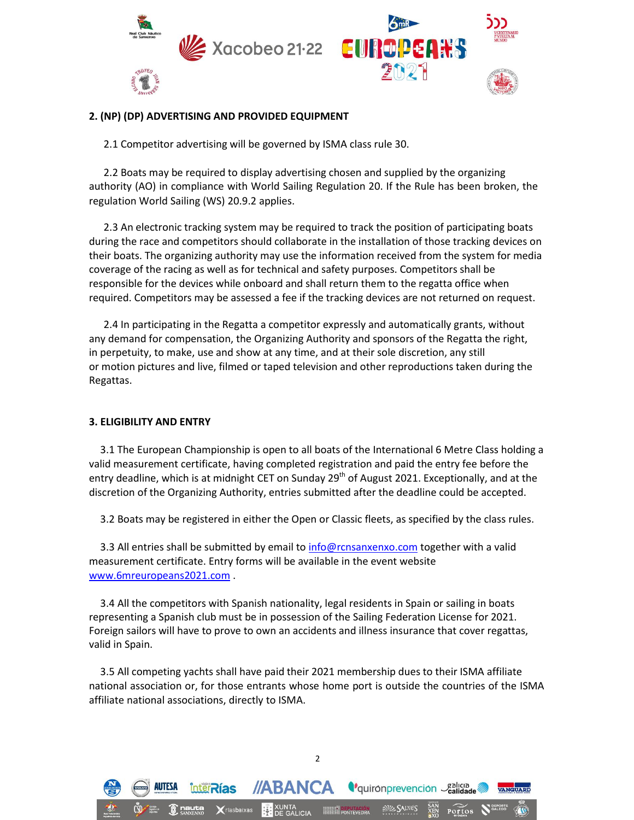

### **2. (NP) (DP) ADVERTISING AND PROVIDED EQUIPMENT**

2.1 Competitor advertising will be governed by ISMA class rule 30.

2.2 Boats may be required to display advertising chosen and supplied by the organizing authority (AO) in compliance with World Sailing Regulation 20. If the Rule has been broken, the regulation World Sailing (WS) 20.9.2 applies.

2.3 An electronic tracking system may be required to track the position of participating boats during the race and competitors should collaborate in the installation of those tracking devices on their boats. The organizing authority may use the information received from the system for media coverage of the racing as well as for technical and safety purposes. Competitors shall be responsible for the devices while onboard and shall return them to the regatta office when required. Competitors may be assessed a fee if the tracking devices are not returned on request.

2.4 In participating in the Regatta a competitor expressly and automatically grants, without any demand for compensation, the Organizing Authority and sponsors of the Regatta the right, in perpetuity, to make, use and show at any time, and at their sole discretion, any still or motion pictures and live, filmed or taped television and other reproductions taken during the Regattas.

## **3. ELIGIBILITY AND ENTRY**

3.1 The European Championship is open to all boats of the International 6 Metre Class holding a valid measurement certificate, having completed registration and paid the entry fee before the entry deadline, which is at midnight CET on Sunday 29<sup>th</sup> of August 2021. Exceptionally, and at the discretion of the Organizing Authority, entries submitted after the deadline could be accepted.

3.2 Boats may be registered in either the Open or Classic fleets, as specified by the class rules.

3.3 All entries shall be submitted by email to info@rcnsanxenxo.com together with a valid measurement certificate. Entry forms will be available in the event website [www.6mreuropeans2021.com](http://www.6mreuropeans2021.com/) .

3.4 All the competitors with Spanish nationality, legal residents in Spain or sailing in boats representing a Spanish club must be in possession of the Sailing Federation License for 2021. Foreign sailors will have to prove to own an accidents and illness insurance that cover regattas, valid in Spain.

3.5 All competing yachts shall have paid their 2021 membership dues to their ISMA affiliate national association or, for those entrants whose home port is outside the countries of the ISMA affiliate national associations, directly to ISMA.

2

**Calica** calica de la Calicia de

Portos

**//ABANCA** 

**InterRias**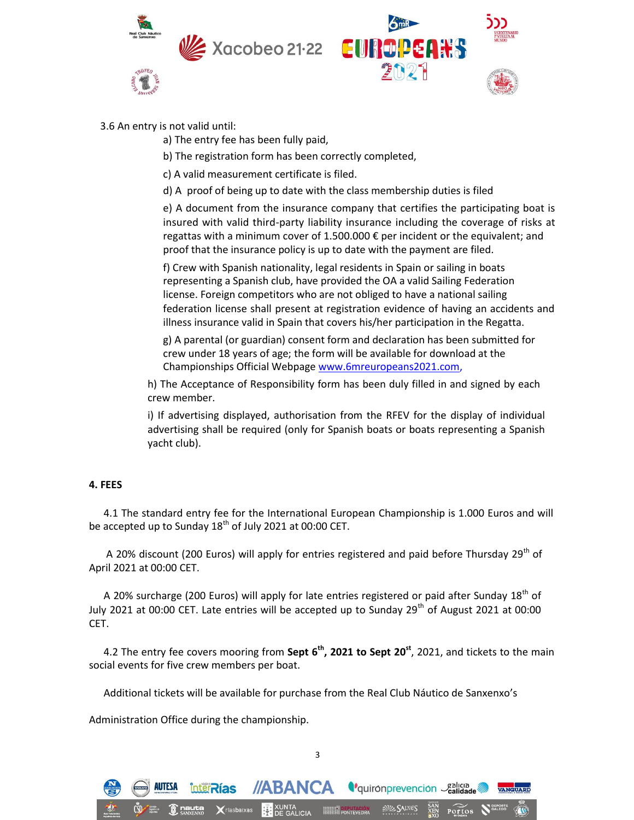





#### 3.6 An entry is not valid until:

a) The entry fee has been fully paid,

b) The registration form has been correctly completed,

c) A valid measurement certificate is filed.

d) A proof of being up to date with the class membership duties is filed

e) A document from the insurance company that certifies the participating boat is insured with valid third-party liability insurance including the coverage of risks at regattas with a minimum cover of 1.500.000 € per incident or the equivalent; and proof that the insurance policy is up to date with the payment are filed.

f) Crew with Spanish nationality, legal residents in Spain or sailing in boats representing a Spanish club, have provided the OA a valid Sailing Federation license. Foreign competitors who are not obliged to have a national sailing federation license shall present at registration evidence of having an accidents and illness insurance valid in Spain that covers his/her participation in the Regatta.

g) A parental (or guardian) consent form and declaration has been submitted for crew under 18 years of age; the form will be available for download at the Championships Official Webpage [www.6mreuropeans2021.com,](http://www.6mreuropeans2021.com/)

h) The Acceptance of Responsibility form has been duly filled in and signed by each crew member.

i) If advertising displayed, authorisation from the RFEV for the display of individual advertising shall be required (only for Spanish boats or boats representing a Spanish yacht club).

## **4. FEES**

4.1 The standard entry fee for the International European Championship is 1.000 Euros and will be accepted up to Sunday  $18<sup>th</sup>$  of July 2021 at 00:00 CET.

A 20% discount (200 Euros) will apply for entries registered and paid before Thursday 29<sup>th</sup> of April 2021 at 00:00 CET.

A 20% surcharge (200 Euros) will apply for late entries registered or paid after Sunday 18<sup>th</sup> of July 2021 at 00:00 CET. Late entries will be accepted up to Sunday 29<sup>th</sup> of August 2021 at 00:00 CET.

4.2 The entry fee covers mooring from **Sept 6th, 2021 to Sept 20st**, 2021, and tickets to the main social events for five crew members per boat.

Additional tickets will be available for purchase from the Real Club Náutico de Sanxenxo's

3

XUNTA<br>**BE** DE GALICIA

**//ABANCA** *<u>Caligraphysis Caligraphysis</u>* 

**SIZ SALNES** 

Portos

Administration Office during the championship.

**InterRías**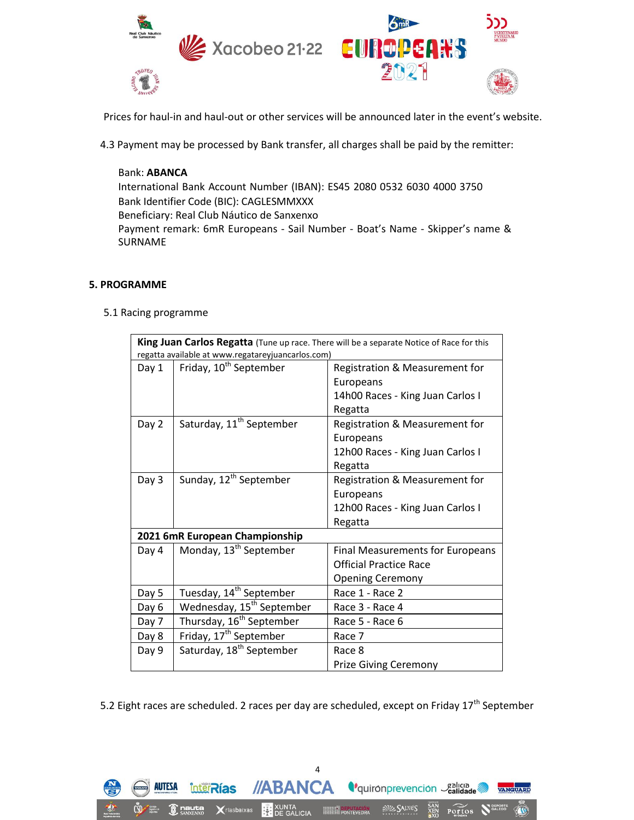

Prices for haul-in and haul-out or other services will be announced later in the event's website.

4.3 Payment may be processed by Bank transfer, all charges shall be paid by the remitter:

Bank: **ABANCA** International Bank Account Number (IBAN): ES45 2080 0532 6030 4000 3750 Bank Identifier Code (BIC): CAGLESMMXXX Beneficiary: Real Club Náutico de Sanxenxo Payment remark: 6mR Europeans - Sail Number - Boat's Name - Skipper's name & SURNAME

## **5. PROGRAMME**

5.1 Racing programme

| King Juan Carlos Regatta (Tune up race. There will be a separate Notice of Race for this<br>regatta available at www.regatareyjuancarlos.com) |                                       |                                                                                                     |
|-----------------------------------------------------------------------------------------------------------------------------------------------|---------------------------------------|-----------------------------------------------------------------------------------------------------|
| Day 1                                                                                                                                         | Friday, 10 <sup>th</sup> September    | Registration & Measurement for<br>Europeans<br>14h00 Races - King Juan Carlos I                     |
|                                                                                                                                               |                                       | Regatta                                                                                             |
| Day 2                                                                                                                                         | Saturday, 11 <sup>th</sup> September  | Registration & Measurement for<br>Europeans<br>12h00 Races - King Juan Carlos I<br>Regatta          |
| Day 3                                                                                                                                         | Sunday, 12 <sup>th</sup> September    | Registration & Measurement for<br>Europeans<br>12h00 Races - King Juan Carlos I<br>Regatta          |
| 2021 6mR European Championship                                                                                                                |                                       |                                                                                                     |
| Day 4                                                                                                                                         | Monday, 13 <sup>th</sup> September    | <b>Final Measurements for Europeans</b><br><b>Official Practice Race</b><br><b>Opening Ceremony</b> |
| Day 5                                                                                                                                         | Tuesday, 14 <sup>th</sup> September   | Race 1 - Race 2                                                                                     |
| Day 6                                                                                                                                         | Wednesday, 15 <sup>th</sup> September | Race 3 - Race 4                                                                                     |
| Day 7                                                                                                                                         | Thursday, 16 <sup>th</sup> September  | Race 5 - Race 6                                                                                     |
| Day 8                                                                                                                                         | Friday, 17 <sup>th</sup> September    | Race 7                                                                                              |
| Day 9                                                                                                                                         | Saturday, 18 <sup>th</sup> September  | Race 8<br>Prize Giving Ceremony                                                                     |

5.2 Eight races are scheduled. 2 races per day are scheduled, except on Friday 17<sup>th</sup> September

4

XUNTA

//ABANCA *Vquironprevencion* Salicia e

**ENTER DEPUTACIÓN** 

SPE SALNES

Portos



**InterRías** 

**X**ríasbaixas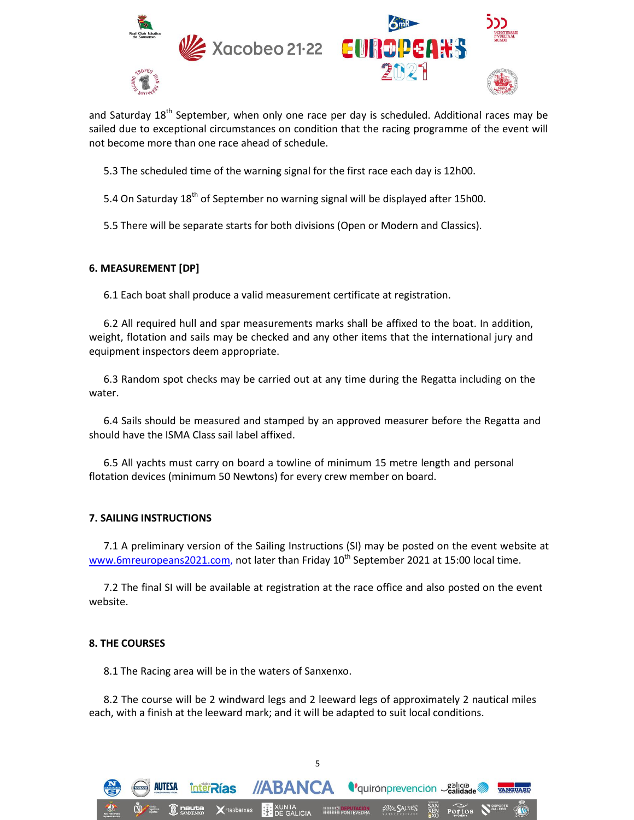

and Saturday 18<sup>th</sup> September, when only one race per day is scheduled. Additional races may be sailed due to exceptional circumstances on condition that the racing programme of the event will not become more than one race ahead of schedule.

5.3 The scheduled time of the warning signal for the first race each day is 12h00.

5.4 On Saturday  $18<sup>th</sup>$  of September no warning signal will be displayed after 15h00.

5.5 There will be separate starts for both divisions (Open or Modern and Classics).

#### **6. MEASUREMENT [DP]**

6.1 Each boat shall produce a valid measurement certificate at registration.

6.2 All required hull and spar measurements marks shall be affixed to the boat. In addition, weight, flotation and sails may be checked and any other items that the international jury and equipment inspectors deem appropriate.

6.3 Random spot checks may be carried out at any time during the Regatta including on the water.

6.4 Sails should be measured and stamped by an approved measurer before the Regatta and should have the ISMA Class sail label affixed.

6.5 All yachts must carry on board a towline of minimum 15 metre length and personal flotation devices (minimum 50 Newtons) for every crew member on board.

#### **7. SAILING INSTRUCTIONS**

7.1 A preliminary version of the Sailing Instructions (SI) may be posted on the event website at [www.6mreuropeans2021.com,](http://www.6mreuropeans2021.com/) not later than Friday  $10^{th}$  September 2021 at 15:00 local time.

7.2 The final SI will be available at registration at the race office and also posted on the event website.

#### **8. THE COURSES**

8.1 The Racing area will be in the waters of Sanxenxo.

**InterRias** 

8.2 The course will be 2 windward legs and 2 leeward legs of approximately 2 nautical miles each, with a finish at the leeward mark; and it will be adapted to suit local conditions.

5

**//ABANCA** *<u>equironprevencion</u>* Calidade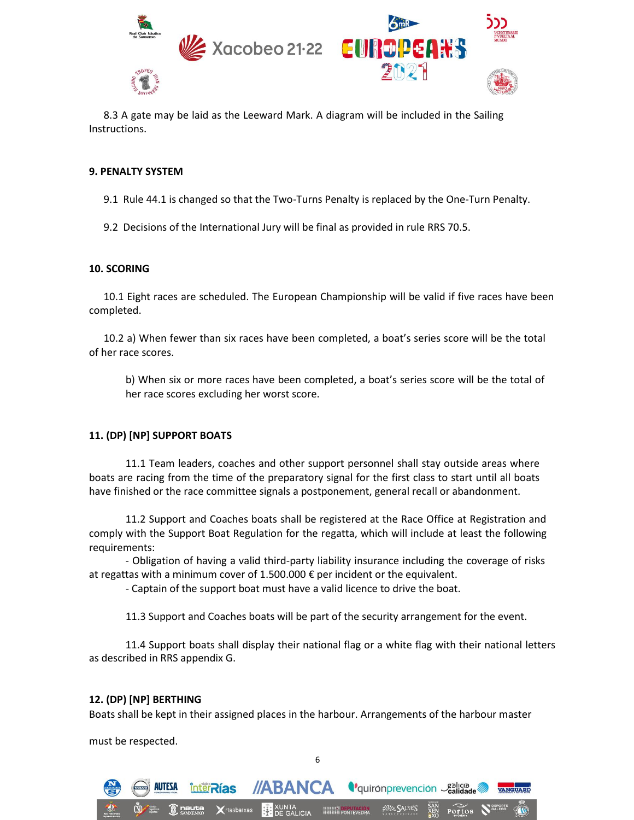

8.3 A gate may be laid as the Leeward Mark. A diagram will be included in the Sailing Instructions.

#### **9. PENALTY SYSTEM**

9.1 Rule 44.1 is changed so that the Two-Turns Penalty is replaced by the One-Turn Penalty.

9.2 Decisions of the International Jury will be final as provided in rule RRS 70.5.

#### **10. SCORING**

10.1 Eight races are scheduled. The European Championship will be valid if five races have been completed.

10.2 a) When fewer than six races have been completed, a boat's series score will be the total of her race scores.

b) When six or more races have been completed, a boat's series score will be the total of her race scores excluding her worst score.

## **11. (DP) [NP] SUPPORT BOATS**

11.1 Team leaders, coaches and other support personnel shall stay outside areas where boats are racing from the time of the preparatory signal for the first class to start until all boats have finished or the race committee signals a postponement, general recall or abandonment.

11.2 Support and Coaches boats shall be registered at the Race Office at Registration and comply with the Support Boat Regulation for the regatta, which will include at least the following requirements:

- Obligation of having a valid third-party liability insurance including the coverage of risks at regattas with a minimum cover of 1.500.000  $\epsilon$  per incident or the equivalent.

- Captain of the support boat must have a valid licence to drive the boat.

11.3 Support and Coaches boats will be part of the security arrangement for the event.

11.4 Support boats shall display their national flag or a white flag with their national letters as described in RRS appendix G.

#### **12. (DP) [NP] BERTHING**

inter**Rías** 

Boats shall be kept in their assigned places in the harbour. Arrangements of the harbour master

6

**//ABANCA** *<u>equironprevencion Calidade<sup>2</sup>*</u>

must be respected.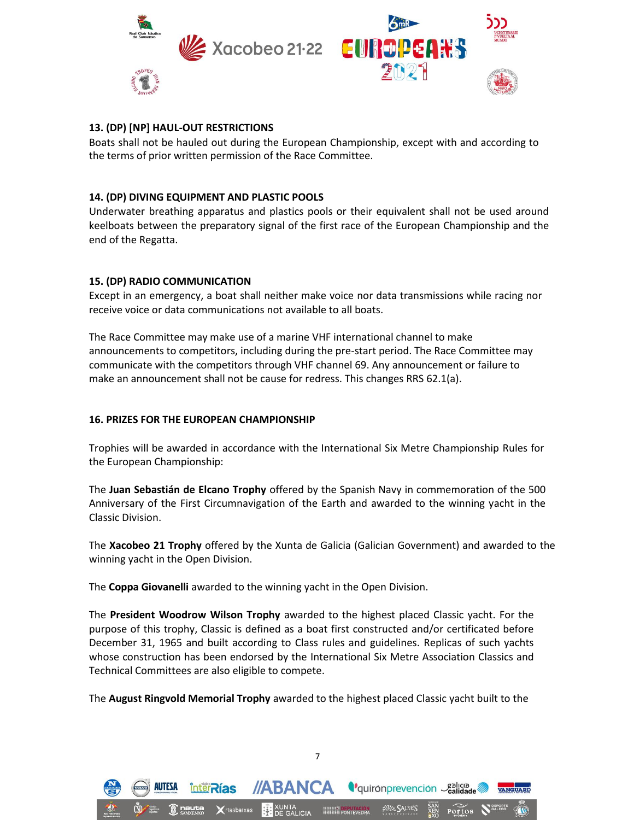

## **13. (DP) [NP] HAUL-OUT RESTRICTIONS**

Boats shall not be hauled out during the European Championship, except with and according to the terms of prior written permission of the Race Committee.

## **14. (DP) DIVING EQUIPMENT AND PLASTIC POOLS**

Underwater breathing apparatus and plastics pools or their equivalent shall not be used around keelboats between the preparatory signal of the first race of the European Championship and the end of the Regatta.

## **15. (DP) RADIO COMMUNICATION**

Except in an emergency, a boat shall neither make voice nor data transmissions while racing nor receive voice or data communications not available to all boats.

The Race Committee may make use of a marine VHF international channel to make announcements to competitors, including during the pre-start period. The Race Committee may communicate with the competitors through VHF channel 69. Any announcement or failure to make an announcement shall not be cause for redress. This changes RRS 62.1(a).

## **16. PRIZES FOR THE EUROPEAN CHAMPIONSHIP**

Trophies will be awarded in accordance with the International Six Metre Championship Rules for the European Championship:

The **Juan Sebastián de Elcano Trophy** offered by the Spanish Navy in commemoration of the 500 Anniversary of the First Circumnavigation of the Earth and awarded to the winning yacht in the Classic Division.

The **Xacobeo 21 Trophy** offered by the Xunta de Galicia (Galician Government) and awarded to the winning yacht in the Open Division.

The **Coppa Giovanelli** awarded to the winning yacht in the Open Division.

**InterRías** 

The **President Woodrow Wilson Trophy** awarded to the highest placed Classic yacht. For the purpose of this trophy, Classic is defined as a boat first constructed and/or certificated before December 31, 1965 and built according to Class rules and guidelines. Replicas of such yachts whose construction has been endorsed by the International Six Metre Association Classics and Technical Committees are also eligible to compete.

The **August Ringvold Memorial Trophy** awarded to the highest placed Classic yacht built to the

7

**//ABANCA** *L'quironprevencion calidade* 

Portos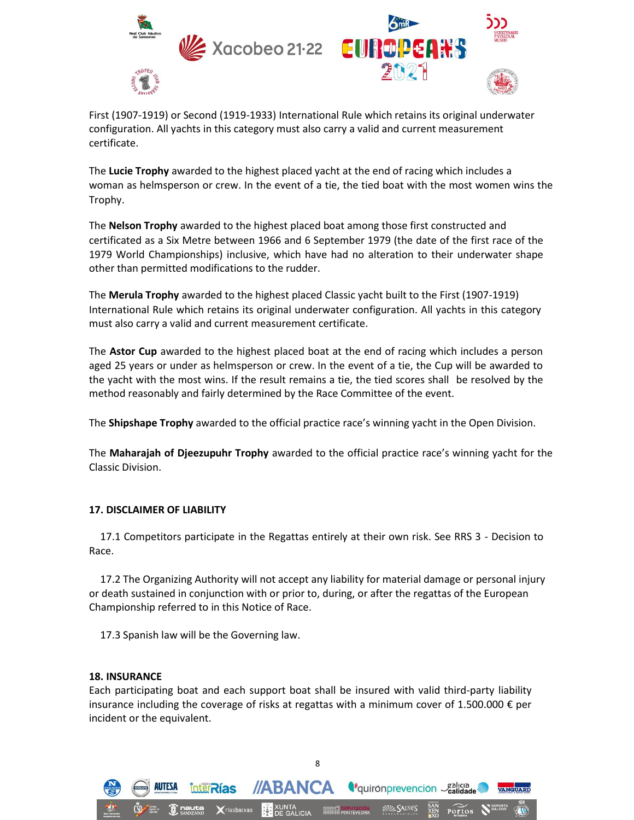

First (1907-1919) or Second (1919-1933) International Rule which retains its original underwater configuration. All yachts in this category must also carry a valid and current measurement certificate.

The **Lucie Trophy** awarded to the highest placed yacht at the end of racing which includes a woman as helmsperson or crew. In the event of a tie, the tied boat with the most women wins the Trophy.

The **Nelson Trophy** awarded to the highest placed boat among those first constructed and certificated as a Six Metre between 1966 and 6 September 1979 (the date of the first race of the 1979 World Championships) inclusive, which have had no alteration to their underwater shape other than permitted modifications to the rudder.

The **Merula Trophy** awarded to the highest placed Classic yacht built to the First (1907-1919) International Rule which retains its original underwater configuration. All yachts in this category must also carry a valid and current measurement certificate.

The **Astor Cup** awarded to the highest placed boat at the end of racing which includes a person aged 25 years or under as helmsperson or crew. In the event of a tie, the Cup will be awarded to the yacht with the most wins. If the result remains a tie, the tied scores shall be resolved by the method reasonably and fairly determined by the Race Committee of the event.

The **Shipshape Trophy** awarded to the official practice race's winning yacht in the Open Division.

The **Maharajah of Djeezupuhr Trophy** awarded to the official practice race's winning yacht for the Classic Division.

## **17. DISCLAIMER OF LIABILITY**

17.1 Competitors participate in the Regattas entirely at their own risk. See RRS 3 - Decision to Race.

17.2 The Organizing Authority will not accept any liability for material damage or personal injury or death sustained in conjunction with or prior to, during, or after the regattas of the European Championship referred to in this Notice of Race.

17.3 Spanish law will be the Governing law.

inter**Rías** 

#### **18. INSURANCE**

Each participating boat and each support boat shall be insured with valid third-party liability insurance including the coverage of risks at regattas with a minimum cover of 1.500.000  $\epsilon$  per incident or the equivalent.

8

**//ABANCA** *V*quironprevencion *Sealicia*